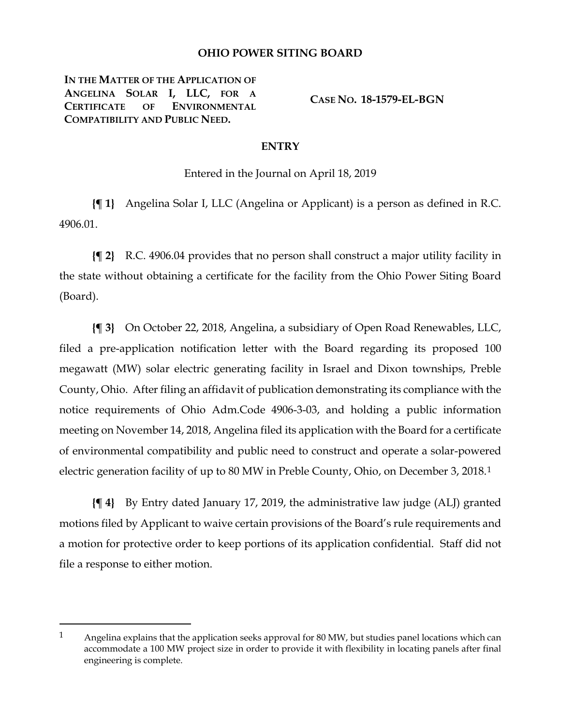## **OHIO POWER SITING BOARD**

**IN THE MATTER OF THE APPLICATION OF ANGELINA SOLAR I, LLC, FOR A CERTIFICATE OF ENVIRONMENTAL COMPATIBILITY AND PUBLIC NEED.**

 $\overline{a}$ 

**CASE NO. 18-1579-EL-BGN**

## **ENTRY**

Entered in the Journal on April 18, 2019

**{¶ 1}** Angelina Solar I, LLC (Angelina or Applicant) is a person as defined in R.C. 4906.01.

**{¶ 2}** R.C. 4906.04 provides that no person shall construct a major utility facility in the state without obtaining a certificate for the facility from the Ohio Power Siting Board (Board).

**{¶ 3}** On October 22, 2018, Angelina, a subsidiary of Open Road Renewables, LLC, filed a pre-application notification letter with the Board regarding its proposed 100 megawatt (MW) solar electric generating facility in Israel and Dixon townships, Preble County, Ohio. After filing an affidavit of publication demonstrating its compliance with the notice requirements of Ohio Adm.Code 4906-3-03, and holding a public information meeting on November 14, 2018, Angelina filed its application with the Board for a certificate of environmental compatibility and public need to construct and operate a solar-powered electric generation facility of up to 80 MW in Preble County, Ohio, on December 3, 2018.[1](#page-0-0)

**{¶ 4}** By Entry dated January 17, 2019, the administrative law judge (ALJ) granted motions filed by Applicant to waive certain provisions of the Board's rule requirements and a motion for protective order to keep portions of its application confidential. Staff did not file a response to either motion.

<span id="page-0-0"></span><sup>1</sup> Angelina explains that the application seeks approval for 80 MW, but studies panel locations which can accommodate a 100 MW project size in order to provide it with flexibility in locating panels after final engineering is complete.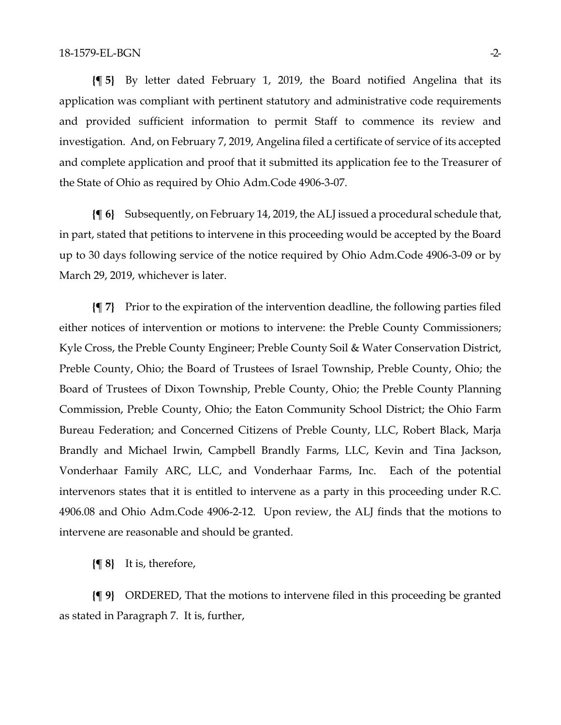**{¶ 5}** By letter dated February 1, 2019, the Board notified Angelina that its application was compliant with pertinent statutory and administrative code requirements and provided sufficient information to permit Staff to commence its review and investigation. And, on February 7, 2019, Angelina filed a certificate of service of its accepted and complete application and proof that it submitted its application fee to the Treasurer of the State of Ohio as required by Ohio Adm.Code 4906-3-07.

**{¶ 6}** Subsequently, on February 14, 2019, the ALJ issued a procedural schedule that, in part, stated that petitions to intervene in this proceeding would be accepted by the Board up to 30 days following service of the notice required by Ohio Adm.Code 4906-3-09 or by March 29, 2019, whichever is later.

**{¶ 7}** Prior to the expiration of the intervention deadline, the following parties filed either notices of intervention or motions to intervene: the Preble County Commissioners; Kyle Cross, the Preble County Engineer; Preble County Soil & Water Conservation District, Preble County, Ohio; the Board of Trustees of Israel Township, Preble County, Ohio; the Board of Trustees of Dixon Township, Preble County, Ohio; the Preble County Planning Commission, Preble County, Ohio; the Eaton Community School District; the Ohio Farm Bureau Federation; and Concerned Citizens of Preble County, LLC, Robert Black, Marja Brandly and Michael Irwin, Campbell Brandly Farms, LLC, Kevin and Tina Jackson, Vonderhaar Family ARC, LLC, and Vonderhaar Farms, Inc. Each of the potential intervenors states that it is entitled to intervene as a party in this proceeding under R.C. 4906.08 and Ohio Adm.Code 4906-2-12. Upon review, the ALJ finds that the motions to intervene are reasonable and should be granted.

**{¶ 8}** It is, therefore,

**{¶ 9}** ORDERED, That the motions to intervene filed in this proceeding be granted as stated in Paragraph 7. It is, further,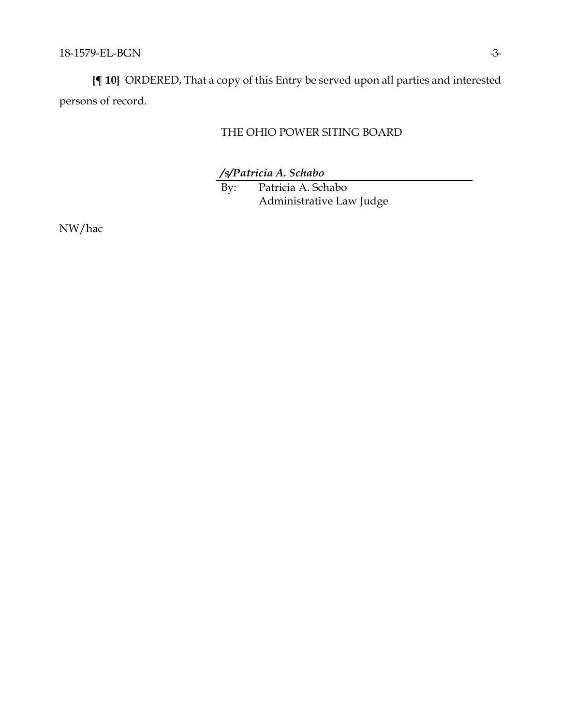**{¶ 10}** ORDERED, That a copy of this Entry be served upon all parties and interested persons of record.

## THE OHIO POWER SITING BOARD

*/s/Patricia A. Schabo*

By: Patricia A. Schabo Administrative Law Judge

NW/hac